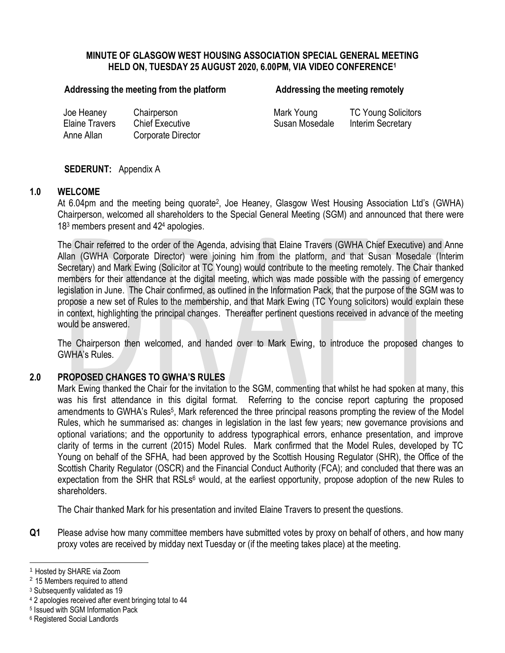# **MINUTE OF GLASGOW WEST HOUSING ASSOCIATION SPECIAL GENERAL MEETING HELD ON, TUESDAY 25 AUGUST 2020, 6.00PM, VIA VIDEO CONFERENCE<sup>1</sup>**

### Addressing the meeting from the platform **Addressing the meeting remotely**

Joe Heaney Chairperson **Mark Young TC Young Solicitors** Elaine Travers Chief Executive Susan Mosedale Interim Secretary Anne Allan Corporate Director

## **SEDERUNT:** Appendix A

### **1.0 WELCOME**

At 6.04pm and the meeting being quorate<sup>2</sup>, Joe Heaney, Glasgow West Housing Association Ltd's (GWHA) Chairperson, welcomed all shareholders to the Special General Meeting (SGM) and announced that there were 18<sup>3</sup> members present and 42<sup>4</sup> apologies.

The Chair referred to the order of the Agenda, advising that Elaine Travers (GWHA Chief Executive) and Anne Allan (GWHA Corporate Director) were joining him from the platform, and that Susan Mosedale (Interim Secretary) and Mark Ewing (Solicitor at TC Young) would contribute to the meeting remotely. The Chair thanked members for their attendance at the digital meeting, which was made possible with the passing of emergency legislation in June. The Chair confirmed, as outlined in the Information Pack, that the purpose of the SGM was to propose a new set of Rules to the membership, and that Mark Ewing (TC Young solicitors) would explain these in context, highlighting the principal changes. Thereafter pertinent questions received in advance of the meeting would be answered.

The Chairperson then welcomed, and handed over to Mark Ewing, to introduce the proposed changes to GWHA's Rules.

### **2.0 PROPOSED CHANGES TO GWHA'S RULES**

Mark Ewing thanked the Chair for the invitation to the SGM, commenting that whilst he had spoken at many, this was his first attendance in this digital format. Referring to the concise report capturing the proposed amendments to GWHA's Rules<sup>5</sup>, Mark referenced the three principal reasons prompting the review of the Model Rules, which he summarised as: changes in legislation in the last few years; new governance provisions and optional variations; and the opportunity to address typographical errors, enhance presentation, and improve clarity of terms in the current (2015) Model Rules. Mark confirmed that the Model Rules, developed by TC Young on behalf of the SFHA, had been approved by the Scottish Housing Regulator (SHR), the Office of the Scottish Charity Regulator (OSCR) and the Financial Conduct Authority (FCA); and concluded that there was an expectation from the SHR that RSLs<sup>6</sup> would, at the earliest opportunity, propose adoption of the new Rules to shareholders.

The Chair thanked Mark for his presentation and invited Elaine Travers to present the questions.

**Q1** Please advise how many committee members have submitted votes by proxy on behalf of others, and how many proxy votes are received by midday next Tuesday or (if the meeting takes place) at the meeting.

 $\overline{a}$ <sup>1</sup> Hosted by SHARE via Zoom

<sup>&</sup>lt;sup>2</sup> 15 Members required to attend

<sup>3</sup> Subsequently validated as 19

<sup>4</sup> 2 apologies received after event bringing total to 44

<sup>5</sup> Issued with SGM Information Pack

<sup>6</sup> Registered Social Landlords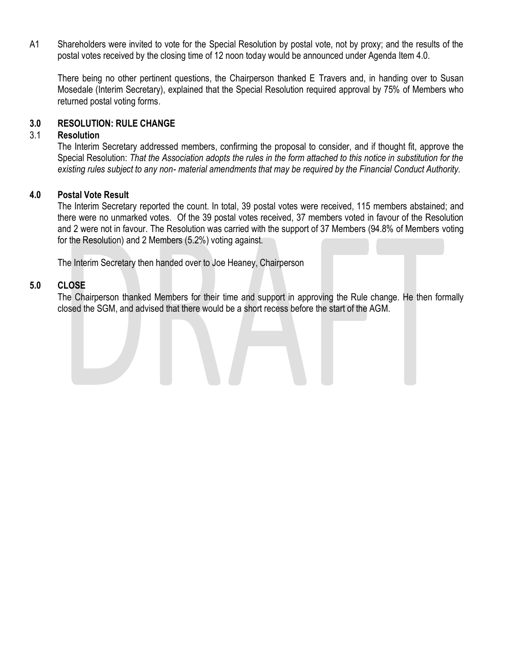A1 Shareholders were invited to vote for the Special Resolution by postal vote, not by proxy; and the results of the postal votes received by the closing time of 12 noon today would be announced under Agenda Item 4.0.

There being no other pertinent questions, the Chairperson thanked E Travers and, in handing over to Susan Mosedale (Interim Secretary), explained that the Special Resolution required approval by 75% of Members who returned postal voting forms.

# **3.0 RESOLUTION: RULE CHANGE**

# 3.1 **Resolution**

The Interim Secretary addressed members, confirming the proposal to consider, and if thought fit, approve the Special Resolution: *That the Association adopts the rules in the form attached to this notice in substitution for the existing rules subject to any non- material amendments that may be required by the Financial Conduct Authority.*

# **4.0 Postal Vote Result**

The Interim Secretary reported the count. In total, 39 postal votes were received, 115 members abstained; and there were no unmarked votes. Of the 39 postal votes received, 37 members voted in favour of the Resolution and 2 were not in favour. The Resolution was carried with the support of 37 Members (94.8% of Members voting for the Resolution) and 2 Members (5.2%) voting against.

The Interim Secretary then handed over to Joe Heaney, Chairperson

# **5.0 CLOSE**

The Chairperson thanked Members for their time and support in approving the Rule change. He then formally closed the SGM, and advised that there would be a short recess before the start of the AGM.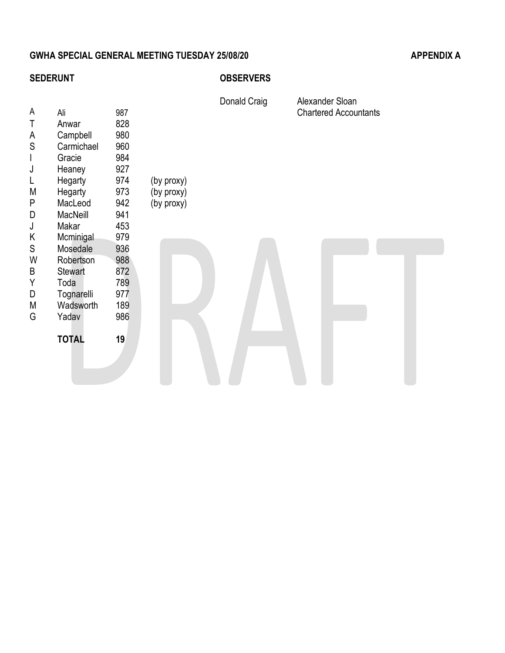# GWHA SPECIAL GENERAL MEETING TUESDAY 25/08/20 APPENDIX A

# **SEDERUNT OBSERVERS**

| A<br>T<br>A<br>${\mathsf S}$<br>$\mathsf{I}$<br>J<br>L<br>M<br>P | Ali<br>Anwar<br>Campbell<br>Carmichael<br>Gracie<br>Heaney<br>Hegarty<br>Hegarty                                                                                                                                            | 987<br>828<br>980<br>960<br>984<br>927<br>974<br>973 | (by proxy)<br>(by proxy) | Donald Craig | Alexander Sloan<br><b>Chartered Accountants</b> |
|------------------------------------------------------------------|-----------------------------------------------------------------------------------------------------------------------------------------------------------------------------------------------------------------------------|------------------------------------------------------|--------------------------|--------------|-------------------------------------------------|
| D<br>J<br>Κ<br>${\mathsf S}$<br>W<br>B<br>Υ<br>D<br>M<br>G       | MacLeod<br>942<br>(by proxy)<br>941<br>MacNeill<br>Makar<br>453<br>979<br>Mcminigal<br>936<br>Mosedale<br>988<br>Robertson<br><b>Stewart</b><br>872<br>789<br>Toda<br>Tognarelli<br>977<br>189<br>Wadsworth<br>986<br>Yadav |                                                      |                          |              |                                                 |
|                                                                  | <b>TOTAL</b>                                                                                                                                                                                                                | 19                                                   |                          |              |                                                 |